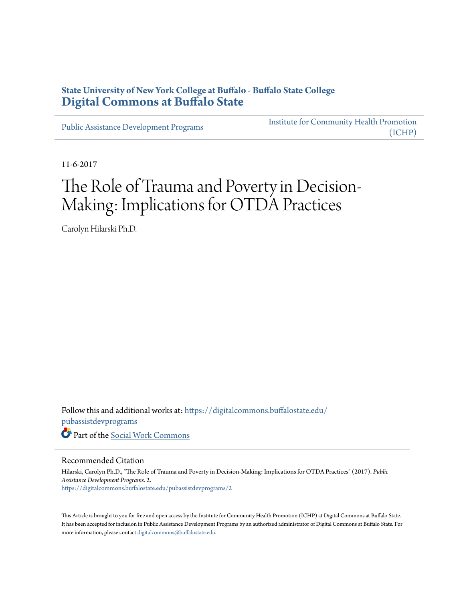# **State University of New York College at Buffalo - Buffalo State College [Digital Commons at Buffalo State](https://digitalcommons.buffalostate.edu?utm_source=digitalcommons.buffalostate.edu%2Fpubassistdevprograms%2F2&utm_medium=PDF&utm_campaign=PDFCoverPages)**

[Public Assistance Development Programs](https://digitalcommons.buffalostate.edu/pubassistdevprograms?utm_source=digitalcommons.buffalostate.edu%2Fpubassistdevprograms%2F2&utm_medium=PDF&utm_campaign=PDFCoverPages)

[Institute for Community Health Promotion](https://digitalcommons.buffalostate.edu/ichpcricdhs?utm_source=digitalcommons.buffalostate.edu%2Fpubassistdevprograms%2F2&utm_medium=PDF&utm_campaign=PDFCoverPages) [\(ICHP\)](https://digitalcommons.buffalostate.edu/ichpcricdhs?utm_source=digitalcommons.buffalostate.edu%2Fpubassistdevprograms%2F2&utm_medium=PDF&utm_campaign=PDFCoverPages)

11-6-2017

# The Role of Trauma and Poverty in Decision-Making: Implications for OTDA Practices

Carolyn Hilarski Ph.D.

Follow this and additional works at: [https://digitalcommons.buffalostate.edu/](https://digitalcommons.buffalostate.edu/pubassistdevprograms?utm_source=digitalcommons.buffalostate.edu%2Fpubassistdevprograms%2F2&utm_medium=PDF&utm_campaign=PDFCoverPages) [pubassistdevprograms](https://digitalcommons.buffalostate.edu/pubassistdevprograms?utm_source=digitalcommons.buffalostate.edu%2Fpubassistdevprograms%2F2&utm_medium=PDF&utm_campaign=PDFCoverPages) Part of the [Social Work Commons](http://network.bepress.com/hgg/discipline/713?utm_source=digitalcommons.buffalostate.edu%2Fpubassistdevprograms%2F2&utm_medium=PDF&utm_campaign=PDFCoverPages)

#### Recommended Citation

Hilarski, Carolyn Ph.D., "The Role of Trauma and Poverty in Decision-Making: Implications for OTDA Practices" (2017). *Public Assistance Development Programs*. 2. [https://digitalcommons.buffalostate.edu/pubassistdevprograms/2](https://digitalcommons.buffalostate.edu/pubassistdevprograms/2?utm_source=digitalcommons.buffalostate.edu%2Fpubassistdevprograms%2F2&utm_medium=PDF&utm_campaign=PDFCoverPages)

This Article is brought to you for free and open access by the Institute for Community Health Promotion (ICHP) at Digital Commons at Buffalo State. It has been accepted for inclusion in Public Assistance Development Programs by an authorized administrator of Digital Commons at Buffalo State. For more information, please contact [digitalcommons@buffalostate.edu.](mailto:digitalcommons@buffalostate.edu)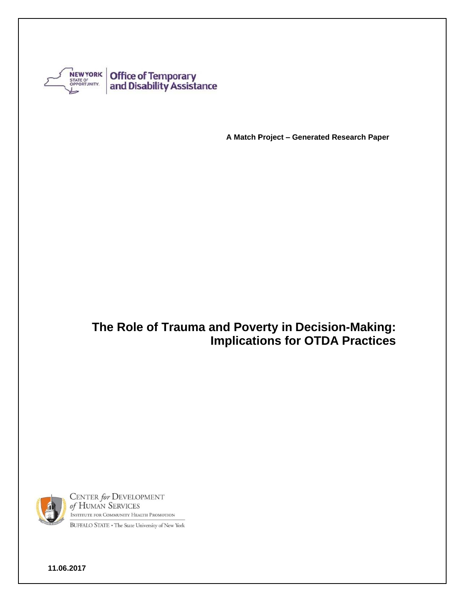

**A Match Project - Generated Research Paper** 

# **The Role of Trauma and Poverty in Decision-Making: Implications for OTDA Practices**



CENTER for DEVELOPMENT of HUMAN SERVICES INSTITUTE FOR COMMUNITY HEALTH PROMOTION BUFFALO STATE . The State University of New York

**11.06.2017**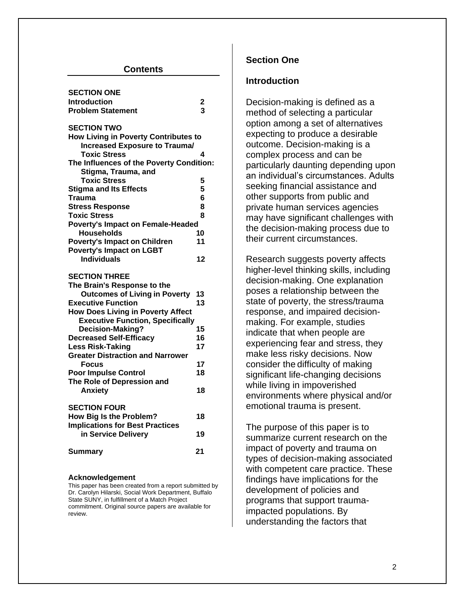#### **Contents**

| <b>SECTION ONE</b>                          |    |
|---------------------------------------------|----|
| <b>Introduction</b>                         | 2  |
| <b>Problem Statement</b>                    | 3  |
| <b>SECTION TWO</b>                          |    |
| <b>How Living in Poverty Contributes to</b> |    |
| <b>Increased Exposure to Trauma/</b>        |    |
| <b>Toxic Stress</b>                         | 4  |
| The Influences of the Poverty Condition:    |    |
| Stigma, Trauma, and                         |    |
| <b>Toxic Stress</b>                         | 5  |
| <b>Stigma and Its Effects</b>               | 5  |
| Trauma                                      | 6  |
| <b>Stress Response</b>                      | 8  |
| <b>Toxic Stress</b>                         | 8  |
| Poverty's Impact on Female-Headed           |    |
| <b>Households</b>                           | 10 |
| <b>Poverty's Impact on Children</b>         | 11 |
| <b>Poverty's Impact on LGBT</b>             |    |
| <b>Individuals</b>                          | 12 |
| <b>SECTION THREE</b>                        |    |
| The Brain's Response to the                 |    |
| <b>Outcomes of Living in Poverty</b>        | 13 |
| <b>Executive Function</b>                   | 13 |
| <b>How Does Living in Poverty Affect</b>    |    |
| <b>Executive Function, Specifically</b>     |    |
| Decision-Making?                            | 15 |
| <b>Decreased Self-Efficacy</b>              | 16 |
| <b>Less Risk-Taking</b>                     | 17 |
| <b>Greater Distraction and Narrower</b>     |    |
| <b>Focus</b>                                | 17 |
| <b>Poor Impulse Control</b>                 | 18 |
| The Role of Depression and                  |    |
| <b>Anxiety</b>                              | 18 |
| <b>SECTION FOUR</b>                         |    |
| How Big Is the Problem?                     | 18 |
| <b>Implications for Best Practices</b>      |    |
| in Service Delivery                         | 19 |
|                                             |    |
| <b>Summary</b>                              | 21 |
|                                             |    |

#### **Acknowledgement**

This paper has been created from a report submitted by Dr. Carolyn Hilarski, Social Work Department, Buffalo State SUNY, in fulfillment of a Match Project commitment. Original source papers are available for review.

#### **Section One**

#### **Introduction**

Decision-making is defined as a method of selecting a particular option among a set of alternatives expecting to produce a desirable outcome. Decision-making is a complex process and can be particularly daunting depending upon an individual's circumstances. Adults seeking financial assistance and other supports from public and private human services agencies may have significant challenges with the decision-making process due to their current circumstances.

Research suggests poverty affects higher-level thinking skills, including decision-making. One explanation poses a relationship between the state of poverty, the stress/trauma response, and impaired decisionmaking. For example, studies indicate that when people are experiencing fear and stress, they make less risky decisions. Now consider the difficulty of making significant life-changing decisions while living in impoverished environments where physical and/or emotional trauma is present.

The purpose of this paper is to summarize current research on the impact of poverty and trauma on types of decision-making associated with competent care practice. These findings have implications for the development of policies and programs that support traumaimpacted populations. By understanding the factors that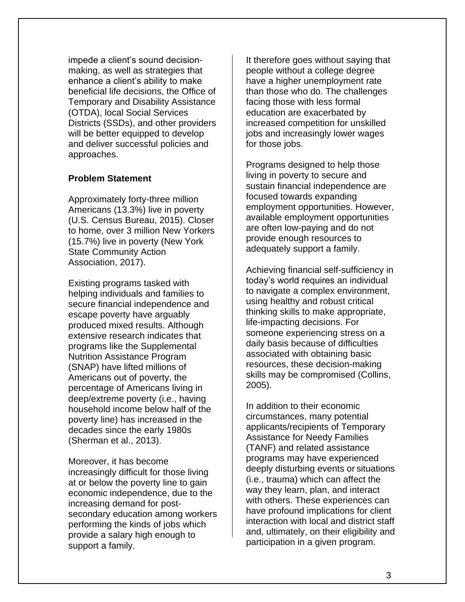impede a client's sound decisionmaking, as well as strategies that enhance a client's ability to make beneficial life decisions, the Office of Temporary and Disability Assistance (OTDA), local Social Services Districts (SSDs), and other providers will be better equipped to develop and deliver successful policies and approaches.

#### <span id="page-3-0"></span>**Problem Statement**

Approximately forty-three million Americans (13.3%) live in poverty (U.S. Census Bureau, 2015). Closer to home, over 3 million New Yorkers (15.7%) live in poverty (New York State Community Action Association, 2017).

Existing programs tasked with helping individuals and families to secure financial independence and escape poverty have arguably produced mixed results. Although extensive research indicates that programs like the Supplemental Nutrition Assistance Program (SNAP) have lifted millions of Americans out of poverty, the percentage of Americans living in deep/extreme poverty (i.e., having household income below half of the poverty line) has increased in the decades since the early 1980s (Sherman et al., 2013).

Moreover, it has become increasingly difficult for those living at or below the poverty line to gain economic independence, due to the increasing demand for postsecondary education among workers performing the kinds of jobs which provide a salary high enough to support a family.

It therefore goes without saying that people without a college degree have a higher unemployment rate than those who do. The challenges facing those with less formal education are exacerbated by increased competition for unskilled jobs and increasingly lower wages for those jobs.

Programs designed to help those living in poverty to secure and sustain financial independence are focused towards expanding employment opportunities. However, available employment opportunities are often low-paying and do not provide enough resources to adequately support a family.

Achieving financial self-sufficiency in today's world requires an individual to navigate a complex environment, using healthy and robust critical thinking skills to make appropriate, life-impacting decisions. For someone experiencing stress on a daily basis because of difficulties associated with obtaining basic resources, these decision-making skills may be compromised (Collins, 2005).

In addition to their economic circumstances, many potential applicants/recipients of Temporary Assistance for Needy Families (TANF) and related assistance programs may have experienced deeply disturbing events or situations (i.e., trauma) which can affect the way they learn, plan, and interact with others. These experiences can have profound implications for client interaction with local and district staff and, ultimately, on their eligibility and participation in a given program.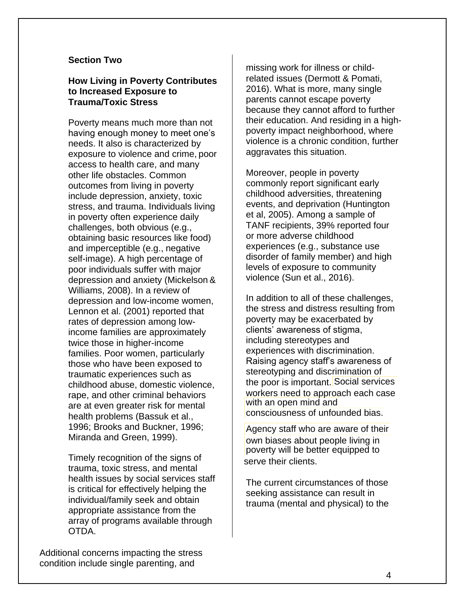#### <span id="page-4-1"></span><span id="page-4-0"></span>**Section Two**

#### **How Living in Poverty Contributes to Increased Exposure to Trauma/Toxic Stress**

Poverty means much more than not having enough money to meet one's needs. It also is characterized by exposure to violence and crime, poor access to health care, and many other life obstacles. Common outcomes from living in poverty include depression, anxiety, toxic stress, and trauma. Individuals living in poverty often experience daily challenges, both obvious (e.g., obtaining basic resources like food) and imperceptible (e.g., negative self-image). A high percentage of poor individuals suffer with major depression and anxiety (Mickelson & Williams, 2008). In a review of depression and low-income women, Lennon et al. (2001) reported that rates of depression among lowincome families are approximately twice those in higher-income families. Poor women, particularly those who have been exposed to traumatic experiences such as childhood abuse, domestic violence, rape, and other criminal behaviors are at even greater risk for mental health problems (Bassuk et al., 1996; Brooks and Buckner, 1996; Miranda and Green, 1999).

Timely recognition of the signs of trauma, toxic stress, and mental health issues by social services staff is critical for effectively helping the individual/family seek and obtain appropriate assistance from the array of programs available through OTDA.

Additional concerns impacting the stress condition include single parenting, and

missing work for illness or childrelated issues (Dermott & Pomati, 2016). What is more, many single parents cannot escape poverty because they cannot afford to further their education. And residing in a highpoverty impact neighborhood, where violence is a chronic condition, further aggravates this situation.

Moreover, people in poverty commonly report significant early childhood adversities, threatening events, and deprivation (Huntington et al, 2005). Among a sample of TANF recipients, 39% reported four or more adverse childhood experiences (e.g., substance use disorder of family member) and high levels of exposure to community violence (Sun et al., 2016).

the poor is important. Social services with an open mind and In addition to all of these challenges, the stress and distress resulting from poverty may be exacerbated by clients' awareness of stigma, including stereotypes and experiences with discrimination. Raising agency staff's awareness of stereotyping and discrimination of workers need to approach each case consciousness of unfounded bias.

Agency staff who are aware of their poverty will be better equipped to serve their clients. own biases about people living in

The current circumstances of those seeking assistance can result in trauma (mental and physical) to the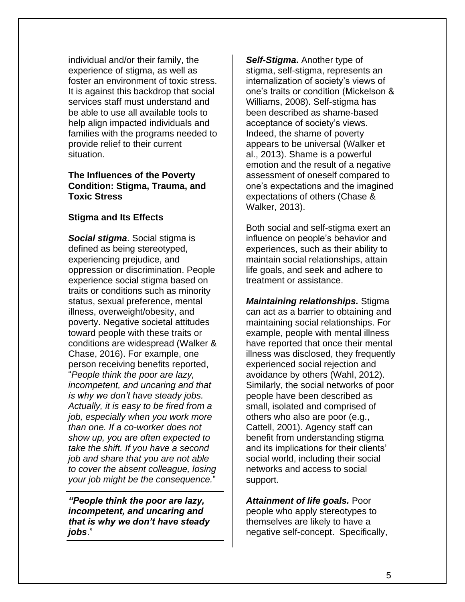individual and/or their family, the experience of stigma, as well as foster an environment of toxic stress. It is against this backdrop that social services staff must understand and be able to use all available tools to help align impacted individuals and families with the programs needed to provide relief to their current situation.

# **The Influences of the Poverty Condition: Stigma, Trauma, and Toxic Stress**

# **Stigma and Its Effects**

*Social stigma*. Social stigma is defined as being stereotyped, experiencing prejudice, and oppression or discrimination. People experience social stigma based on traits or conditions such as minority status, sexual preference, mental illness, overweight/obesity, and poverty. Negative societal attitudes toward people with these traits or conditions are widespread (Walker & Chase, 2016). For example, one person receiving benefits reported, "*People think the poor are lazy, incompetent, and uncaring and that is why we don't have steady jobs. Actually, it is easy to be fired from a job, especially when you work more than one. If a co-worker does not show up, you are often expected to take the shift. If you have a second job and share that you are not able to cover the absent colleague, losing your job might be the consequence.*"

*"People think the poor are lazy, incompetent, and uncaring and that is why we don't have steady jobs*."

*Self-Stigma***.** Another type of stigma, self-stigma, represents an internalization of society's views of one's traits or condition (Mickelson & Williams, 2008). Self-stigma has been described as shame-based acceptance of society's views. Indeed, the shame of poverty appears to be universal (Walker et al., 2013). Shame is a powerful emotion and the result of a negative assessment of oneself compared to one's expectations and the imagined expectations of others (Chase & Walker, 2013).

Both social and self-stigma exert an influence on people's behavior and experiences, such as their ability to maintain social relationships, attain life goals, and seek and adhere to treatment or assistance.

*Maintaining relationships.* Stigma can act as a barrier to obtaining and maintaining social relationships. For example, people with mental illness have reported that once their mental illness was disclosed, they frequently experienced social rejection and avoidance by others (Wahl, 2012). Similarly, the social networks of poor people have been described as small, isolated and comprised of others who also are poor (e.g., Cattell, 2001). Agency staff can benefit from understanding stigma and its implications for their clients' social world, including their social networks and access to social support.

*Attainment of life goals.* Poor people who apply stereotypes to themselves are likely to have a negative self-concept. Specifically,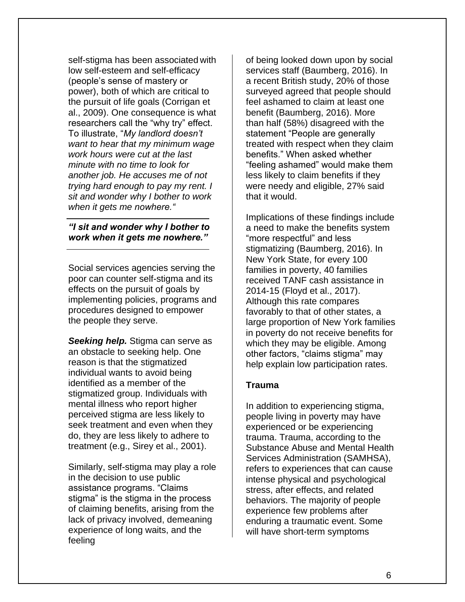self-stigma has been associated with low self-esteem and self-efficacy (people's sense of mastery or power), both of which are critical to the pursuit of life goals (Corrigan et al., 2009). One consequence is what researchers call the "why try" effect. To illustrate, "*My landlord doesn't want to hear that my minimum wage work hours were cut at the last minute with no time to look for another job. He accuses me of not trying hard enough to pay my rent. I sit and wonder why I bother to work when it gets me nowhere."*

*"I sit and wonder why I bother to work when it gets me nowhere."*

Social services agencies serving the poor can counter self-stigma and its effects on the pursuit of goals by implementing policies, programs and procedures designed to empower the people they serve.

*Seeking help.* Stigma can serve as an obstacle to seeking help. One reason is that the stigmatized individual wants to avoid being identified as a member of the stigmatized group. Individuals with mental illness who report higher perceived stigma are less likely to seek treatment and even when they do, they are less likely to adhere to treatment (e.g., Sirey et al., 2001).

Similarly, self-stigma may play a role in the decision to use public assistance programs. "Claims stigma" is the stigma in the process of claiming benefits, arising from the lack of privacy involved, demeaning experience of long waits, and the feeling

of being looked down upon by social services staff (Baumberg, 2016). In a recent British study, 20% of those surveyed agreed that people should feel ashamed to claim at least one benefit (Baumberg, 2016). More than half (58%) disagreed with the statement "People are generally treated with respect when they claim benefits." When asked whether "feeling ashamed" would make them less likely to claim benefits if they were needy and eligible, 27% said that it would.

Implications of these findings include a need to make the benefits system "more respectful" and less stigmatizing (Baumberg, 2016). In New York State, for every 100 families in poverty, 40 families received TANF cash assistance in 2014-15 (Floyd et al., 2017). Although this rate compares favorably to that of other states, a large proportion of New York families in poverty do not receive benefits for which they may be eligible. Among other factors, "claims stigma" may help explain low participation rates.

# **Trauma**

In addition to experiencing stigma, people living in poverty may have experienced or be experiencing trauma. Trauma, according to the Substance Abuse and Mental Health Services Administration (SAMHSA), refers to experiences that can cause intense physical and psychological stress, after effects, and related behaviors. The majority of people experience few problems after enduring a traumatic event. Some will have short-term symptoms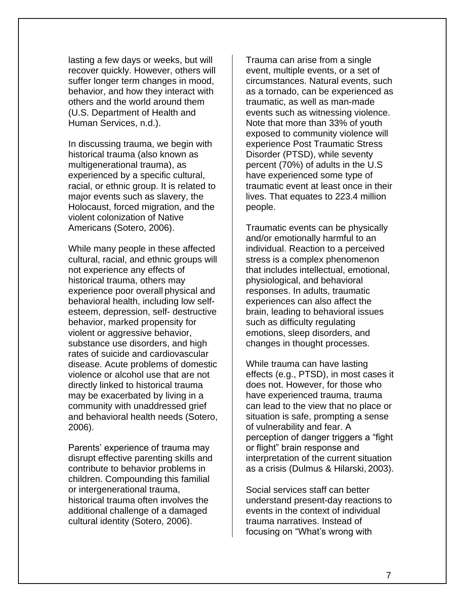lasting a few days or weeks, but will recover quickly. However, others will suffer longer term changes in mood, behavior, and how they interact with others and the world around them (U.S. Department of Health and Human Services, n.d.).

In discussing trauma, we begin with historical trauma (also known as multigenerational trauma), as experienced by a specific cultural, racial, or ethnic group. It is related to major events such as slavery, the Holocaust, forced migration, and the violent colonization of Native Americans (Sotero, 2006).

While many people in these affected cultural, racial, and ethnic groups will not experience any effects of historical trauma, others may experience poor overall physical and behavioral health, including low selfesteem, depression, self- destructive behavior, marked propensity for violent or aggressive behavior, substance use disorders, and high rates of suicide and cardiovascular disease. Acute problems of domestic violence or alcohol use that are not directly linked to historical trauma may be exacerbated by living in a community with unaddressed grief and behavioral health needs (Sotero, 2006).

Parents' experience of trauma may disrupt effective parenting skills and contribute to behavior problems in children. Compounding this familial or intergenerational trauma, historical trauma often involves the additional challenge of a damaged cultural identity (Sotero, 2006).

Trauma can arise from a single event, multiple events, or a set of circumstances. Natural events, such as a tornado, can be experienced as traumatic, as well as man-made events such as witnessing violence. Note that more than 33% of youth exposed to community violence will experience Post Traumatic Stress Disorder (PTSD), while seventy percent (70%) of adults in the U.S have experienced some type of traumatic event at least once in their lives. That equates to 223.4 million people.

Traumatic events can be physically and/or emotionally harmful to an individual. Reaction to a perceived stress is a complex phenomenon that includes intellectual, emotional, physiological, and behavioral responses. In adults, traumatic experiences can also affect the brain, leading to behavioral issues such as difficulty regulating emotions, sleep disorders, and changes in thought processes.

While trauma can have lasting effects (e.g., PTSD), in most cases it does not. However, for those who have experienced trauma, trauma can lead to the view that no place or situation is safe, prompting a sense of vulnerability and fear. A perception of danger triggers a "fight or flight" brain response and interpretation of the current situation as a crisis (Dulmus & Hilarski, 2003).

Social services staff can better understand present-day reactions to events in the context of individual trauma narratives. Instead of focusing on "What's wrong with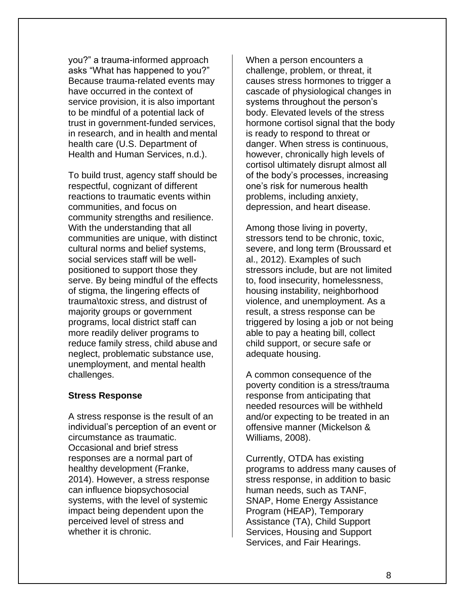you?" a trauma-informed approach asks "What has happened to you?" Because trauma-related events may have occurred in the context of service provision, it is also important to be mindful of a potential lack of trust in government-funded services, in research, and in health and mental health care (U.S. Department of Health and Human Services, n.d.).

To build trust, agency staff should be respectful, cognizant of different reactions to traumatic events within communities, and focus on community strengths and resilience. With the understanding that all communities are unique, with distinct cultural norms and belief systems, social services staff will be wellpositioned to support those they serve. By being mindful of the effects of stigma, the lingering effects of trauma\toxic stress, and distrust of majority groups or government programs, local district staff can more readily deliver programs to reduce family stress, child abuse and neglect, problematic substance use, unemployment, and mental health challenges.

# **Stress Response**

A stress response is the result of an individual's perception of an event or circumstance as traumatic. Occasional and brief stress responses are a normal part of healthy development (Franke, 2014). However, a stress response can influence biopsychosocial systems, with the level of systemic impact being dependent upon the perceived level of stress and whether it is chronic.

When a person encounters a challenge, problem, or threat, it causes stress hormones to trigger a cascade of physiological changes in systems throughout the person's body. Elevated levels of the stress hormone cortisol signal that the body is ready to respond to threat or danger. When stress is continuous, however, chronically high levels of cortisol ultimately disrupt almost all of the body's processes, increasing one's risk for numerous health problems, including anxiety, depression, and heart disease.

Among those living in poverty, stressors tend to be chronic, toxic, severe, and long term (Broussard et al., 2012). Examples of such stressors include, but are not limited to, food insecurity, homelessness, housing instability, neighborhood violence, and unemployment. As a result, a stress response can be triggered by losing a job or not being able to pay a heating bill, collect child support, or secure safe or adequate housing.

A common consequence of the poverty condition is a stress/trauma response from anticipating that needed resources will be withheld and/or expecting to be treated in an offensive manner (Mickelson & Williams, 2008).

Currently, OTDA has existing programs to address many causes of stress response, in addition to basic human needs, such as TANF, SNAP, Home Energy Assistance Program (HEAP), Temporary Assistance (TA), Child Support Services, Housing and Support Services, and Fair Hearings.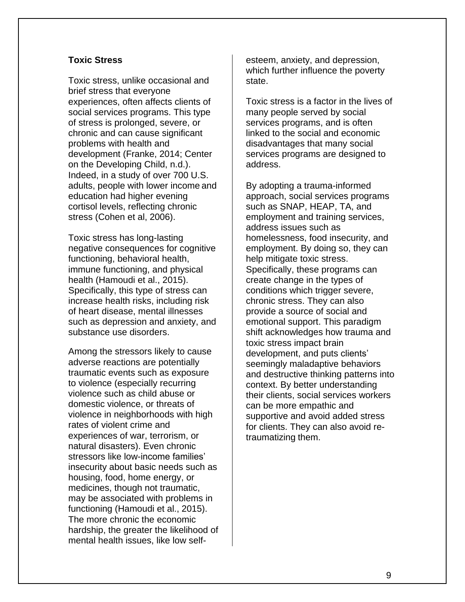## <span id="page-9-0"></span>**Toxic Stress**

Toxic stress, unlike occasional and brief stress that everyone experiences, often affects clients of social services programs. This type of stress is prolonged, severe, or chronic and can cause significant problems with health and development (Franke, 2014; Center on the Developing Child, n.d.). Indeed, in a study of over 700 U.S. adults, people with lower income and education had higher evening cortisol levels, reflecting chronic stress (Cohen et al, 2006).

Toxic stress has long-lasting negative consequences for cognitive functioning, behavioral health, immune functioning, and physical health (Hamoudi et al., 2015). Specifically, this type of stress can increase health risks, including risk of heart disease, mental illnesses such as depression and anxiety, and substance use disorders.

Among the stressors likely to cause adverse reactions are potentially traumatic events such as exposure to violence (especially recurring violence such as child abuse or domestic violence, or threats of violence in neighborhoods with high rates of violent crime and experiences of war, terrorism, or natural disasters). Even chronic stressors like low-income families' insecurity about basic needs such as housing, food, home energy, or medicines, though not traumatic, may be associated with problems in functioning (Hamoudi et al., 2015). The more chronic the economic hardship, the greater the likelihood of mental health issues, like low selfesteem, anxiety, and depression, which further influence the poverty state.

Toxic stress is a factor in the lives of many people served by social services programs, and is often linked to the social and economic disadvantages that many social services programs are designed to address.

By adopting a trauma-informed approach, social services programs such as SNAP, HEAP, TA, and employment and training services, address issues such as homelessness, food insecurity, and employment. By doing so, they can help mitigate toxic stress. Specifically, these programs can create change in the types of conditions which trigger severe, chronic stress. They can also provide a source of social and emotional support. This paradigm shift acknowledges how trauma and toxic stress impact brain development, and puts clients' seemingly maladaptive behaviors and destructive thinking patterns into context. By better understanding their clients, social services workers can be more empathic and supportive and avoid added stress for clients. They can also avoid retraumatizing them.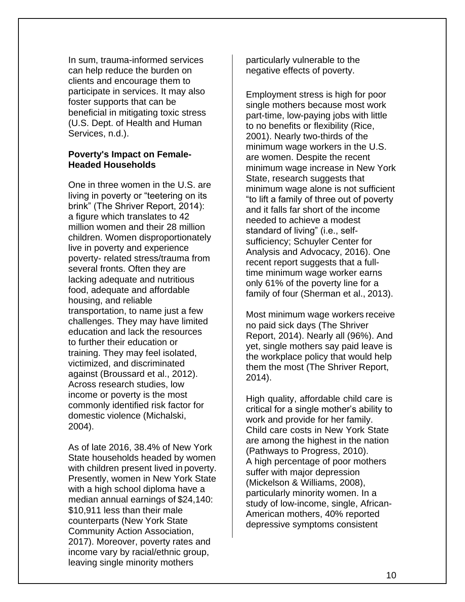In sum, trauma-informed services can help reduce the burden on clients and encourage them to participate in services. It may also foster supports that can be beneficial in mitigating toxic stress (U.S. Dept. of Health and Human Services, n.d.).

#### <span id="page-10-0"></span>**Poverty's Impact on Female-Headed Households**

One in three women in the U.S. are living in poverty or "teetering on its brink" (The Shriver Report, 2014): a figure which translates to 42 million women and their 28 million children. Women disproportionately live in poverty and experience poverty- related stress/trauma from several fronts. Often they are lacking adequate and nutritious food, adequate and affordable housing, and reliable transportation, to name just a few challenges. They may have limited education and lack the resources to further their education or training. They may feel isolated, victimized, and discriminated against (Broussard et al., 2012). Across research studies, low income or poverty is the most commonly identified risk factor for domestic violence (Michalski, 2004).

As of late 2016, 38.4% of New York State households headed by women with children present lived in poverty. Presently, women in New York State with a high school diploma have a median annual earnings of \$24,140: \$10,911 less than their male counterparts (New York State Community Action Association, 2017). Moreover, poverty rates and income vary by racial/ethnic group, leaving single minority mothers

particularly vulnerable to the negative effects of poverty.

Employment stress is high for poor single mothers because most work part-time, low-paying jobs with little to no benefits or flexibility (Rice, 2001). Nearly two-thirds of the minimum wage workers in the U.S. are women. Despite the recent minimum wage increase in New York State, research suggests that minimum wage alone is not sufficient "to lift a family of three out of poverty and it falls far short of the income needed to achieve a modest standard of living" (i.e., selfsufficiency; Schuyler Center for Analysis and Advocacy, 2016). One recent report suggests that a fulltime minimum wage worker earns only 61% of the poverty line for a family of four (Sherman et al., 2013).

Most minimum wage workers receive no paid sick days (The Shriver Report, 2014). Nearly all (96%). And yet, single mothers say paid leave is the workplace policy that would help them the most (The Shriver Report, 2014).

High quality, affordable child care is critical for a single mother's ability to work and provide for her family. Child care costs in New York State are among the highest in the nation (Pathways to Progress, 2010). A high percentage of poor mothers suffer with major depression (Mickelson & Williams, 2008), particularly minority women. In a study of low-income, single, African-American mothers, 40% reported depressive symptoms consistent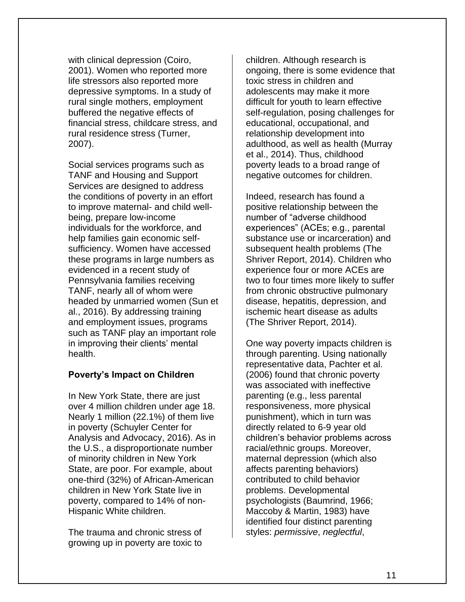with clinical depression (Coiro, 2001). Women who reported more life stressors also reported more depressive symptoms. In a study of rural single mothers, employment buffered the negative effects of financial stress, childcare stress, and rural residence stress (Turner, 2007).

Social services programs such as TANF and Housing and Support Services are designed to address the conditions of poverty in an effort to improve maternal- and child wellbeing, prepare low-income individuals for the workforce, and help families gain economic selfsufficiency. Women have accessed these programs in large numbers as evidenced in a recent study of Pennsylvania families receiving TANF, nearly all of whom were headed by unmarried women (Sun et al., 2016). By addressing training and employment issues, programs such as TANF play an important role in improving their clients' mental health.

# <span id="page-11-0"></span>**Poverty's Impact on Children**

In New York State, there are just over 4 million children under age 18. Nearly 1 million (22.1%) of them live in poverty (Schuyler Center for Analysis and Advocacy, 2016). As in the U.S., a disproportionate number of minority children in New York State, are poor. For example, about one-third (32%) of African-American children in New York State live in poverty, compared to 14% of non-Hispanic White children.

The trauma and chronic stress of growing up in poverty are toxic to children. Although research is ongoing, there is some evidence that toxic stress in children and adolescents may make it more difficult for youth to learn effective self-regulation, posing challenges for educational, occupational, and relationship development into adulthood, as well as health (Murray et al., 2014). Thus, childhood poverty leads to a broad range of negative outcomes for children.

Indeed, research has found a positive relationship between the number of "adverse childhood experiences" (ACEs; e.g., parental substance use or incarceration) and subsequent health problems (The Shriver Report, 2014). Children who experience four or more ACEs are two to four times more likely to suffer from chronic obstructive pulmonary disease, hepatitis, depression, and ischemic heart disease as adults (The Shriver Report, 2014).

One way poverty impacts children is through parenting. Using nationally representative data, Pachter et al. (2006) found that chronic poverty was associated with ineffective parenting (e.g., less parental responsiveness, more physical punishment), which in turn was directly related to 6-9 year old children's behavior problems across racial/ethnic groups. Moreover, maternal depression (which also affects parenting behaviors) contributed to child behavior problems. Developmental psychologists (Baumrind, 1966; Maccoby & Martin, 1983) have identified four distinct parenting styles: *permissive*, *neglectful*,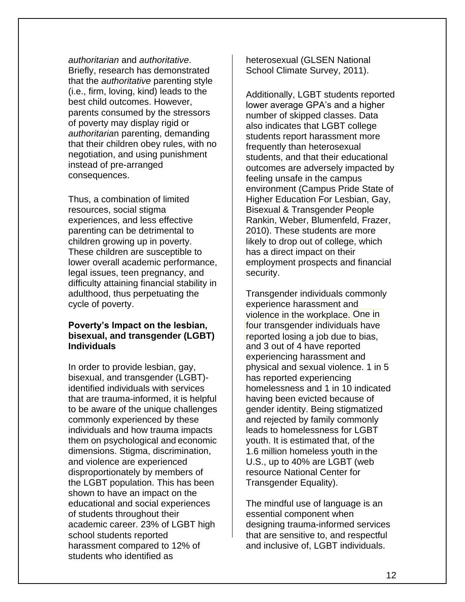*authoritarian* and *authoritative*. Briefly, research has demonstrated that the *authoritative* parenting style (i.e., firm, loving, kind) leads to the best child outcomes. However, parents consumed by the stressors of poverty may display rigid or *authoritaria*n parenting, demanding that their children obey rules, with no negotiation, and using punishment instead of pre-arranged consequences.

Thus, a combination of limited resources, social stigma experiences, and less effective parenting can be detrimental to children growing up in poverty. These children are susceptible to lower overall academic performance, legal issues, teen pregnancy, and difficulty attaining financial stability in adulthood, thus perpetuating the cycle of poverty.

# **Poverty's Impact on the lesbian, bisexual, and transgender (LGBT) Individuals**

In order to provide lesbian, gay, bisexual, and transgender (LGBT) identified individuals with services that are trauma-informed, it is helpful to be aware of the unique challenges commonly experienced by these individuals and how trauma impacts them on psychological and economic dimensions. Stigma, discrimination, and violence are experienced disproportionately by members of the LGBT population. This has been shown to have an impact on the educational and social experiences of students throughout their academic career. 23% of LGBT high school students reported harassment compared to 12% of students who identified as

heterosexual (GLSEN National School Climate Survey, 2011).

Additionally, LGBT students reported lower average GPA's and a higher number of skipped classes. Data also indicates that LGBT college students report harassment more frequently than heterosexual students, and that their educational outcomes are adversely impacted by feeling unsafe in the campus environment (Campus Pride State of Higher Education For Lesbian, Gay, Bisexual & Transgender People Rankin, Weber, Blumenfeld, Frazer, 2010). These students are more likely to drop out of college, which has a direct impact on their employment prospects and financial security.

reported losing a job due to bias, violence in the workplace. One in Transgender individuals commonly experience harassment and and 3 out of 4 have reported experiencing harassment and physical and sexual violence. 1 in 5 has reported experiencing homelessness and 1 in 10 indicated having been evicted because of gender identity. Being stigmatized and rejected by family commonly leads to homelessness for LGBT youth. It is estimated that, of the 1.6 million homeless youth in the U.S., up to 40% are LGBT (web resource National Center for Transgender Equality). four transgender individuals have

The mindful use of language is an essential component when designing trauma-informed services that are sensitive to, and respectful and inclusive of, LGBT individuals.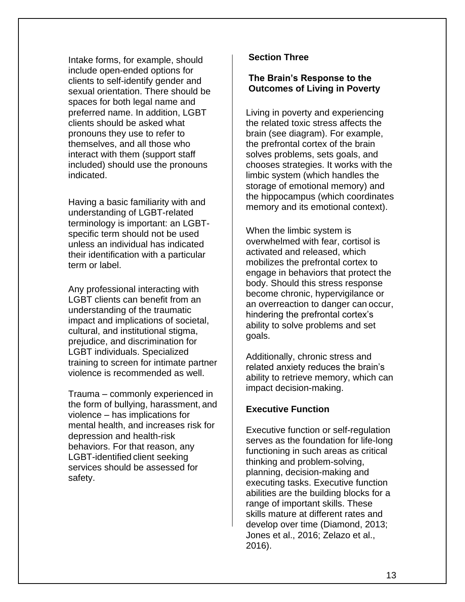Intake forms, for example, should include open-ended options for clients to self-identify gender and sexual orientation. There should be spaces for both legal name and preferred name. In addition, LGBT clients should be asked what pronouns they use to refer to themselves, and all those who interact with them (support staff included) should use the pronouns indicated.

Having a basic familiarity with and understanding of LGBT-related terminology is important: an LGBTspecific term should not be used unless an individual has indicated their identification with a particular term or label.

Any professional interacting with LGBT clients can benefit from an understanding of the traumatic impact and implications of societal, cultural, and institutional stigma, prejudice, and discrimination for LGBT individuals. Specialized training to screen for intimate partner violence is recommended as well.

Trauma – commonly experienced in the form of bullying, harassment, and violence – has implications for mental health, and increases risk for depression and health-risk behaviors. For that reason, any LGBT-identified client seeking services should be assessed for safety.

# <span id="page-13-0"></span>**Section Three**

# <span id="page-13-1"></span>**The Brain's Response to the Outcomes of Living in Poverty**

Living in poverty and experiencing the related toxic stress affects the brain (see diagram). For example, the prefrontal cortex of the brain solves problems, sets goals, and chooses strategies. It works with the limbic system (which handles the storage of emotional memory) and the hippocampus (which coordinates memory and its emotional context).

When the limbic system is overwhelmed with fear, cortisol is activated and released, which mobilizes the prefrontal cortex to engage in behaviors that protect the body. Should this stress response become chronic, hypervigilance or an overreaction to danger can occur, hindering the prefrontal cortex's ability to solve problems and set goals.

Additionally, chronic stress and related anxiety reduces the brain's ability to retrieve memory, which can impact decision-making.

# <span id="page-13-2"></span>**Executive Function**

Executive function or self-regulation serves as the foundation for life-long functioning in such areas as critical thinking and problem-solving, planning, decision-making and executing tasks. Executive function abilities are the building blocks for a range of important skills. These skills mature at different rates and develop over time (Diamond, 2013; Jones et al., 2016; Zelazo et al., 2016).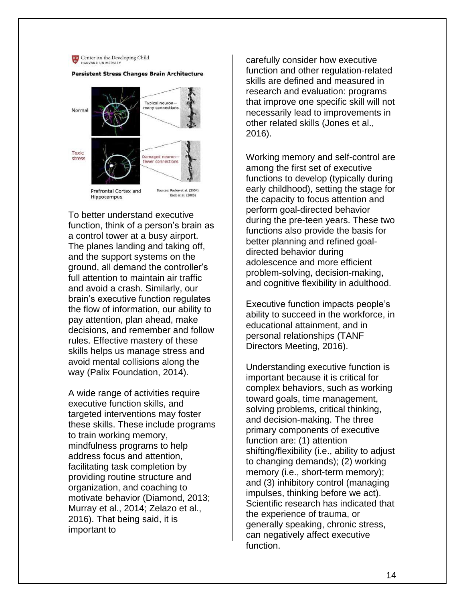Center on the Developing Child<br>HARVARD UNIVERSITY



To better understand executive function, think of a person's brain as a control tower at a busy airport. The planes landing and taking off, and the support systems on the ground, all demand the controller's full attention to maintain air traffic and avoid a crash. Similarly, our brain's executive function regulates the flow of information, our ability to pay attention, plan ahead, make decisions, and remember and follow rules. Effective mastery of these skills helps us manage stress and avoid mental collisions along the way (Palix Foundation, 2014).

A wide range of activities require executive function skills, and targeted interventions may foster these skills. These include programs to train working memory, mindfulness programs to help address focus and attention, facilitating task completion by providing routine structure and organization, and coaching to motivate behavior (Diamond, 2013; Murray et al., 2014; Zelazo et al., 2016). That being said, it is important to

carefully consider how executive function and other regulation-related skills are defined and measured in research and evaluation: programs that improve one specific skill will not necessarily lead to improvements in other related skills (Jones et al., 2016).

Working memory and self-control are among the first set of executive functions to develop (typically during early childhood), setting the stage for the capacity to focus attention and perform goal-directed behavior during the pre-teen years. These two functions also provide the basis for better planning and refined goaldirected behavior during adolescence and more efficient problem-solving, decision-making, and cognitive flexibility in adulthood.

Executive function impacts people's ability to succeed in the workforce, in educational attainment, and in personal relationships (TANF Directors Meeting, 2016).

Understanding executive function is important because it is critical for complex behaviors, such as working toward goals, time management, solving problems, critical thinking, and decision-making. The three primary components of executive function are: (1) attention shifting/flexibility (i.e., ability to adjust to changing demands); (2) working memory (i.e., short-term memory); and (3) inhibitory control (managing impulses, thinking before we act). Scientific research has indicated that the experience of trauma, or generally speaking, chronic stress, can negatively affect executive function.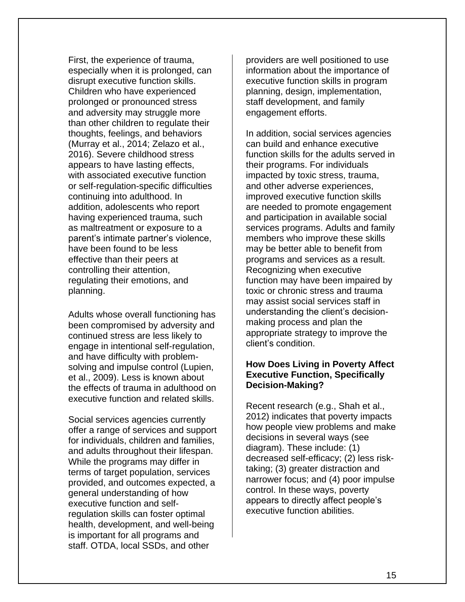First, the experience of trauma, especially when it is prolonged, can disrupt executive function skills. Children who have experienced prolonged or pronounced stress and adversity may struggle more than other children to regulate their thoughts, feelings, and behaviors (Murray et al., 2014; Zelazo et al., 2016). Severe childhood stress appears to have lasting effects, with associated executive function or self-regulation-specific difficulties continuing into adulthood. In addition, adolescents who report having experienced trauma, such as maltreatment or exposure to a parent's intimate partner's violence, have been found to be less effective than their peers at controlling their attention, regulating their emotions, and planning.

Adults whose overall functioning has been compromised by adversity and continued stress are less likely to engage in intentional self-regulation, and have difficulty with problemsolving and impulse control (Lupien, et al., 2009). Less is known about the effects of trauma in adulthood on executive function and related skills.

Social services agencies currently offer a range of services and support for individuals, children and families, and adults throughout their lifespan. While the programs may differ in terms of target population, services provided, and outcomes expected, a general understanding of how executive function and selfregulation skills can foster optimal health, development, and well-being is important for all programs and staff. OTDA, local SSDs, and other

providers are well positioned to use information about the importance of executive function skills in program planning, design, implementation, staff development, and family engagement efforts.

In addition, social services agencies can build and enhance executive function skills for the adults served in their programs. For individuals impacted by toxic stress, trauma, and other adverse experiences, improved executive function skills are needed to promote engagement and participation in available social services programs. Adults and family members who improve these skills may be better able to benefit from programs and services as a result. Recognizing when executive function may have been impaired by toxic or chronic stress and trauma may assist social services staff in understanding the client's decisionmaking process and plan the appropriate strategy to improve the client's condition.

# <span id="page-15-0"></span>**How Does Living in Poverty Affect Executive Function, Specifically Decision-Making?**

Recent research (e.g., Shah et al., 2012) indicates that poverty impacts how people view problems and make decisions in several ways (see diagram). These include: (1) decreased self-efficacy; (2) less risktaking; (3) greater distraction and narrower focus; and (4) poor impulse control. In these ways, poverty appears to directly affect people's executive function abilities.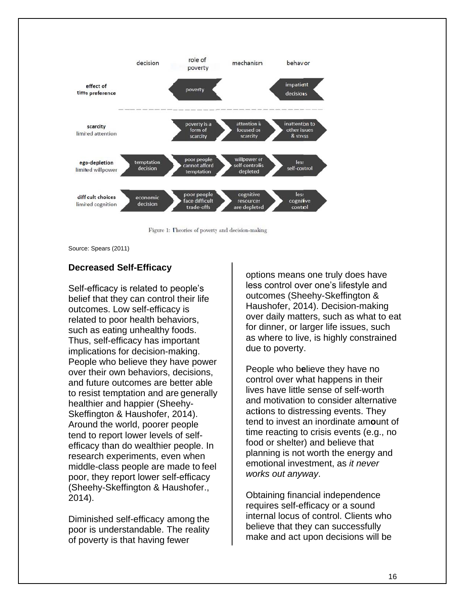

Figure 1: Theories of poverty and decision-making

Source: Spears (2011)

#### **Decreased Self-Efficacy**

Self-efficacy is related to people's belief that they can control their life outcomes. Low self-efficacy is related to poor health behaviors, such as eating unhealthy foods. Thus, self-efficacy has important implications for decision-making. People who believe they have power over their own behaviors, decisions, and future outcomes are better able to resist temptation and are generally healthier and happier (Sheehy-Skeffington & Haushofer, 2014). Around the world, poorer people tend to report lower levels of selfefficacy than do wealthier people. In research experiments, even when middle-class people are made to feel poor, they report lower self-efficacy (Sheehy-Skeffington & Haushofer., 2014).

Diminished self-efficacy among the poor is understandable. The reality of poverty is that having fewer

options means one truly does have less control over one's lifestyle and outcomes (Sheehy-Skeffington & Haushofer, 2014). Decision-making over daily matters, such as what to eat for dinner, or larger life issues, such as where to live, is highly constrained due to poverty.

People who b**e**lieve they have no control over what happens in their lives have little sense of self-worth and motivation to consider alternative act**i**ons to distressing events. They tend to invest an inordinate am**o**unt of time reacting to crisis events (e.g., no food or shelter) and believe that planning is not worth the energy and emotional investment, as *it never works out anyway*.

Obtaining financial independence requires self-efficacy or a sound internal locus of control. Clients who believe that they can successfully make and act upon decisions will be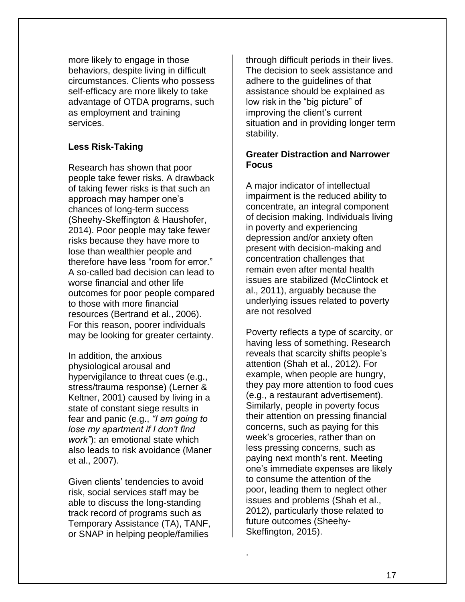more likely to engage in those behaviors, despite living in difficult circumstances. Clients who possess self-efficacy are more likely to take advantage of OTDA programs, such as employment and training services.

# <span id="page-17-0"></span>**Less Risk-Taking**

Research has shown that poor people take fewer risks. A drawback of taking fewer risks is that such an approach may hamper one's chances of long-term success (Sheehy-Skeffington & Haushofer, 2014). Poor people may take fewer risks because they have more to lose than wealthier people and therefore have less "room for error." A so-called bad decision can lead to worse financial and other life outcomes for poor people compared to those with more financial resources (Bertrand et al., 2006). For this reason, poorer individuals may be looking for greater certainty.

In addition, the anxious physiological arousal and hypervigilance to threat cues (e.g., stress/trauma response) (Lerner & Keltner, 2001) caused by living in a state of constant siege results in fear and panic (e.g., *"I am going to lose my apartment if I don't find work"*): an emotional state which also leads to risk avoidance (Maner et al., 2007).

Given clients' tendencies to avoid risk, social services staff may be able to discuss the long-standing track record of programs such as Temporary Assistance (TA), TANF, or SNAP in helping people/families

through difficult periods in their lives. The decision to seek assistance and adhere to the guidelines of that assistance should be explained as low risk in the "big picture" of improving the client's current situation and in providing longer term stability.

# <span id="page-17-1"></span>**Greater Distraction and Narrower Focus**

A major indicator of intellectual impairment is the reduced ability to concentrate, an integral component of decision making. Individuals living in poverty and experiencing depression and/or anxiety often present with decision-making and concentration challenges that remain even after mental health issues are stabilized (McClintock et al., 2011), arguably because the underlying issues related to poverty are not resolved

Poverty reflects a type of scarcity, or having less of something. Research reveals that scarcity shifts people's attention (Shah et al., 2012). For example, when people are hungry, they pay more attention to food cues (e.g., a restaurant advertisement). Similarly, people in poverty focus their attention on pressing financial concerns, such as paying for this week's groceries, rather than on less pressing concerns, such as paying next month's rent. Meeting one's immediate expenses are likely to consume the attention of the poor, leading them to neglect other issues and problems (Shah et al., 2012), particularly those related to future outcomes (Sheehy-Skeffington, 2015).

.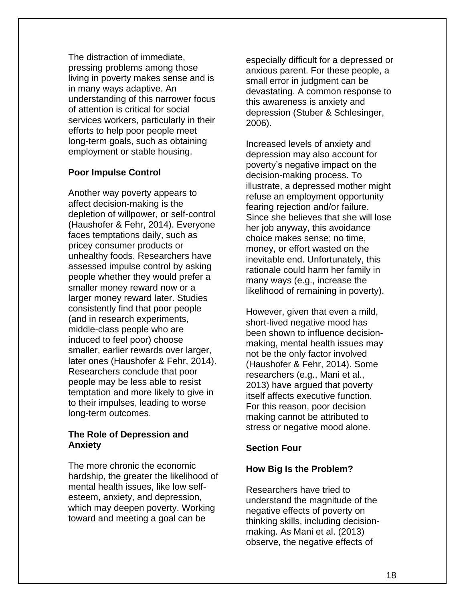The distraction of immediate, pressing problems among those living in poverty makes sense and is in many ways adaptive. An understanding of this narrower focus of attention is critical for social services workers, particularly in their efforts to help poor people meet long-term goals, such as obtaining employment or stable housing.

# <span id="page-18-0"></span>**Poor Impulse Control**

Another way poverty appears to affect decision-making is the depletion of willpower, or self-control (Haushofer & Fehr, 2014). Everyone faces temptations daily, such as pricey consumer products or unhealthy foods. Researchers have assessed impulse control by asking people whether they would prefer a smaller money reward now or a larger money reward later. Studies consistently find that poor people (and in research experiments, middle-class people who are induced to feel poor) choose smaller, earlier rewards over larger, later ones (Haushofer & Fehr, 2014). Researchers conclude that poor people may be less able to resist temptation and more likely to give in to their impulses, leading to worse long-term outcomes.

# **The Role of Depression and Anxiety**

The more chronic the economic hardship, the greater the likelihood of mental health issues, like low selfesteem, anxiety, and depression, which may deepen poverty. Working toward and meeting a goal can be

especially difficult for a depressed or anxious parent. For these people, a small error in judgment can be devastating. A common response to this awareness is anxiety and depression (Stuber & Schlesinger, 2006).

Increased levels of anxiety and depression may also account for poverty's negative impact on the decision-making process. To illustrate, a depressed mother might refuse an employment opportunity fearing rejection and/or failure. Since she believes that she will lose her job anyway, this avoidance choice makes sense; no time, money, or effort wasted on the inevitable end. Unfortunately, this rationale could harm her family in many ways (e.g., increase the likelihood of remaining in poverty).

However, given that even a mild, short-lived negative mood has been shown to influence decisionmaking, mental health issues may not be the only factor involved (Haushofer & Fehr, 2014). Some researchers (e.g., Mani et al., 2013) have argued that poverty itself affects executive function. For this reason, poor decision making cannot be attributed to stress or negative mood alone.

# <span id="page-18-2"></span><span id="page-18-1"></span>**Section Four**

# **How Big Is the Problem?**

Researchers have tried to understand the magnitude of the negative effects of poverty on thinking skills, including decisionmaking. As Mani et al. (2013) observe, the negative effects of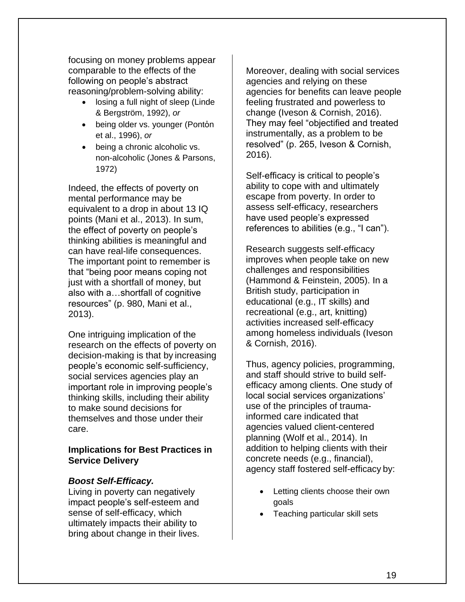focusing on money problems appear comparable to the effects of the following on people's abstract reasoning/problem-solving ability:

- losing a full night of sleep (Linde & Bergström, 1992), *or*
- being older vs. younger (Ponton et al., 1996), *or*
- being a chronic alcoholic vs. non-alcoholic (Jones & Parsons, 1972)

Indeed, the effects of poverty on mental performance may be equivalent to a drop in about 13 IQ points (Mani et al., 2013). In sum, the effect of poverty on people's thinking abilities is meaningful and can have real-life consequences. The important point to remember is that "being poor means coping not just with a shortfall of money, but also with a…shortfall of cognitive resources" (p. 980, Mani et al., 2013).

One intriguing implication of the research on the effects of poverty on decision-making is that by increasing people's economic self-sufficiency, social services agencies play an important role in improving people's thinking skills, including their ability to make sound decisions for themselves and those under their care.

# **Implications for Best Practices in Service Delivery**

# *Boost Self-Efficacy.*

Living in poverty can negatively impact people's self-esteem and sense of self-efficacy, which ultimately impacts their ability to bring about change in their lives. Moreover, dealing with social services agencies and relying on these agencies for benefits can leave people feeling frustrated and powerless to change (Iveson & Cornish, 2016). They may feel "objectified and treated instrumentally, as a problem to be resolved" (p. 265, Iveson & Cornish, 2016).

Self-efficacy is critical to people's ability to cope with and ultimately escape from poverty. In order to assess self-efficacy, researchers have used people's expressed references to abilities (e.g., "I can").

Research suggests self-efficacy improves when people take on new challenges and responsibilities (Hammond & Feinstein, 2005). In a British study, participation in educational (e.g., IT skills) and recreational (e.g., art, knitting) activities increased self-efficacy among homeless individuals (Iveson & Cornish, 2016).

Thus, agency policies, programming, and staff should strive to build selfefficacy among clients. One study of local social services organizations' use of the principles of traumainformed care indicated that agencies valued client-centered planning (Wolf et al., 2014). In addition to helping clients with their concrete needs (e.g., financial), agency staff fostered self-efficacy by:

- Letting clients choose their own goals
- Teaching particular skill sets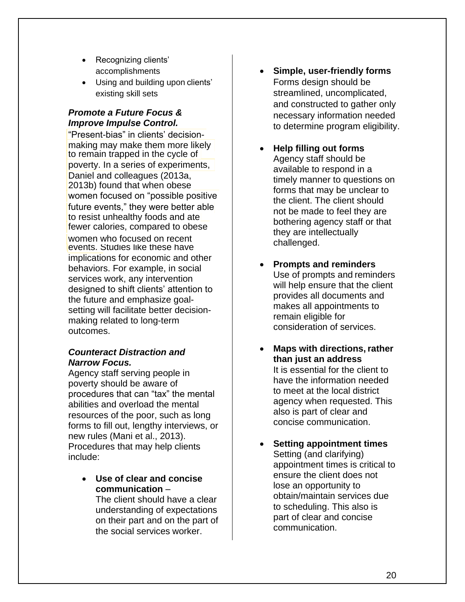- Recognizing clients' accomplishments
- Using and building upon clients' existing skill sets

# *Promote a Future Focus & Improve Impulse Control.*

poverty. In a series of experiments, women focused on "possible positive fewer calories, compared to obese events. Studies like these have implications for economic and other behaviors. For example, in social services work, any intervention designed to shift clients' attention to the future and emphasize goalsetting will facilitate better decisionmaking related to long-term outcomes. "Present-bias" in clients' decisionmaking may make them more likely women who focused on recent to resist unhealthy foods and ate future events," they were better able 2013b) found that when obese Daniel and colleagues (2013a, to remain trapped in the cycle of

# *Counteract Distraction and Narrow Focus.*

Agency staff serving people in poverty should be aware of procedures that can "tax" the mental abilities and overload the mental resources of the poor, such as long forms to fill out, lengthy interviews, or new rules (Mani et al., 2013). Procedures that may help clients include:

• **Use of clear and concise communication** –

The client should have a clear understanding of expectations on their part and on the part of the social services worker.

- **Simple, user-friendly forms** Forms design should be streamlined, uncomplicated, and constructed to gather only necessary information needed to determine program eligibility.
- **Help filling out forms** Agency staff should be available to respond in a timely manner to questions on forms that may be unclear to the client. The client should not be made to feel they are bothering agency staff or that they are intellectually challenged.
- **Prompts and reminders** Use of prompts and reminders will help ensure that the client provides all documents and makes all appointments to remain eligible for consideration of services.
- **Maps with directions,rather than just an address** It is essential for the client to have the information needed to meet at the local district agency when requested. This also is part of clear and concise communication.
- **Setting appointment times** Setting (and clarifying) appointment times is critical to ensure the client does not lose an opportunity to obtain/maintain services due to scheduling. This also is part of clear and concise communication.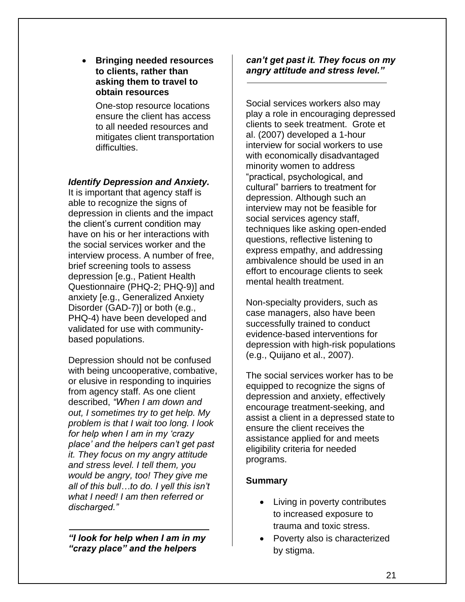## • **Bringing needed resources to clients, rather than asking them to travel to obtain resources**

One-stop resource locations ensure the client has access to all needed resources and mitigates client transportation difficulties.

# *Identify Depression and Anxiety.*

It is important that agency staff is able to recognize the signs of depression in clients and the impact the client's current condition may have on his or her interactions with the social services worker and the interview process. A number of free, brief screening tools to assess depression [e.g., Patient Health Questionnaire (PHQ-2; PHQ-9)] and anxiety [e.g., Generalized Anxiety Disorder (GAD-7)] or both (e.g., PHQ-4) have been developed and validated for use with communitybased populations.

Depression should not be confused with being uncooperative, combative, or elusive in responding to inquiries from agency staff. As one client described, *"When I am down and out, I sometimes try to get help. My problem is that I wait too long. I look for help when I am in my 'crazy place' and the helpers can't get past it. They focus on my angry attitude and stress level. I tell them, you would be angry, too! They give me all of this bull…to do. I yell this isn't what I need! I am then referred or discharged."*

*"I look for help when I am in my "crazy place" and the helpers*

## *can't get past it. They focus on my angry attitude and stress level."*

Social services workers also may play a role in encouraging depressed clients to seek treatment. Grote et al. (2007) developed a 1-hour interview for social workers to use with economically disadvantaged minority women to address "practical, psychological, and cultural" barriers to treatment for depression. Although such an interview may not be feasible for social services agency staff, techniques like asking open-ended questions, reflective listening to express empathy, and addressing ambivalence should be used in an effort to encourage clients to seek mental health treatment.

Non-specialty providers, such as case managers, also have been successfully trained to conduct evidence-based interventions for depression with high-risk populations (e.g., Quijano et al., 2007).

The social services worker has to be equipped to recognize the signs of depression and anxiety, effectively encourage treatment-seeking, and assist a client in a depressed state to ensure the client receives the assistance applied for and meets eligibility criteria for needed programs.

# <span id="page-21-0"></span>**Summary**

- Living in poverty contributes to increased exposure to trauma and toxic stress.
- Poverty also is characterized by stigma.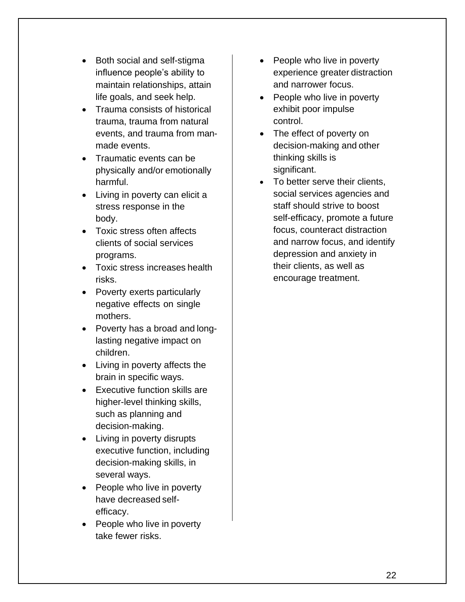- Both social and self-stigma influence people's ability to maintain relationships, attain life goals, and seek help.
- Trauma consists of historical trauma, trauma from natural events, and trauma from manmade events.
- Traumatic events can be physically and/or emotionally harmful.
- Living in poverty can elicit a stress response in the body.
- Toxic stress often affects clients of social services programs.
- Toxic stress increases health risks.
- Poverty exerts particularly negative effects on single mothers.
- Poverty has a broad and longlasting negative impact on children.
- Living in poverty affects the brain in specific ways.
- Executive function skills are higher-level thinking skills, such as planning and decision-making.
- Living in poverty disrupts executive function, including decision-making skills, in several ways.
- People who live in poverty have decreased selfefficacy.
- People who live in poverty take fewer risks.
- People who live in poverty experience greater distraction and narrower focus.
- People who live in poverty exhibit poor impulse control.
- The effect of poverty on decision-making and other thinking skills is significant.
- To better serve their clients, social services agencies and staff should strive to boost self-efficacy, promote a future focus, counteract distraction and narrow focus, and identify depression and anxiety in their clients, as well as encourage treatment.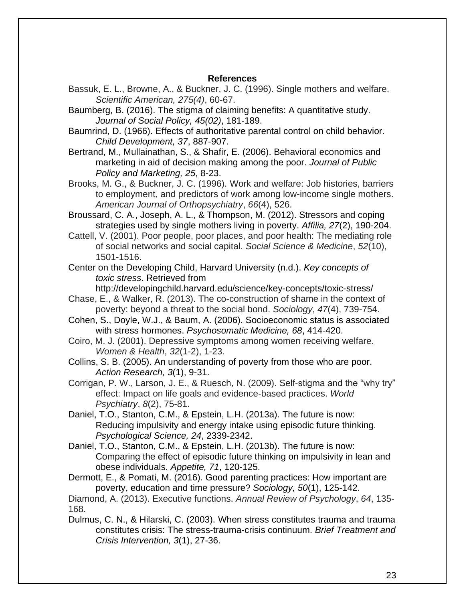#### **References**

Bassuk, E. L., Browne, A., & Buckner, J. C. (1996). Single mothers and welfare. *Scientific American, 275(4)*, 60-67.

Baumberg, B. (2016). The stigma of claiming benefits: A quantitative study. *Journal of Social Policy, 45(02)*, 181-189.

Baumrind, D. (1966). Effects of authoritative parental control on child behavior. *Child Development, 37*, 887-907.

Bertrand, M., Mullainathan, S., & Shafir, E. (2006). Behavioral economics and marketing in aid of decision making among the poor. *Journal of Public Policy and Marketing, 25*, 8-23.

Brooks, M. G., & Buckner, J. C. (1996). Work and welfare: Job histories, barriers to employment, and predictors of work among low-income single mothers. *American Journal of Orthopsychiatry*, *66*(4), 526.

Broussard, C. A., Joseph, A. L., & Thompson, M. (2012). Stressors and coping strategies used by single mothers living in poverty. *Affilia, 27*(2), 190-204.

Cattell, V. (2001). Poor people, poor places, and poor health: The mediating role of social networks and social capital. *Social Science & Medicine*, *52*(10), 1501-1516.

Center on the Developing Child, Harvard University (n.d.). *Key concepts of toxic stress*. Retrieved from

<http://developingchild.harvard.edu/science/key-concepts/toxic-stress/>

Chase, E., & Walker, R. (2013). The co-construction of shame in the context of poverty: beyond a threat to the social bond. *Sociology*, *47*(4), 739-754.

Cohen, S., Doyle, W.J., & Baum, A. (2006). Socioeconomic status is associated with stress hormones. *Psychosomatic Medicine, 68*, 414-420.

Coiro, M. J. (2001). Depressive symptoms among women receiving welfare. *Women & Health*, *32*(1-2), 1-23.

Collins, S. B. (2005). An understanding of poverty from those who are poor. *Action Research, 3*(1), 9-31.

Corrigan, P. W., Larson, J. E., & Ruesch, N. (2009). Self‐stigma and the "why try" effect: Impact on life goals and evidence‐based practices. *World Psychiatry*, *8*(2), 75-81.

Daniel, T.O., Stanton, C.M., & Epstein, L.H. (2013a). The future is now: Reducing impulsivity and energy intake using episodic future thinking. *Psychological Science, 24*, 2339-2342.

Daniel, T.O., Stanton, C.M., & Epstein, L.H. (2013b). The future is now: Comparing the effect of episodic future thinking on impulsivity in lean and obese individuals. *Appetite, 71*, 120-125.

Dermott, E., & Pomati, M. (2016). Good parenting practices: How important are poverty, education and time pressure? *Sociology, 50*(1), 125-142.

Diamond, A. (2013). Executive functions. *Annual Review of Psychology*, *64*, 135- 168.

Dulmus, C. N., & Hilarski, C. (2003). When stress constitutes trauma and trauma constitutes crisis: The stress-trauma-crisis continuum. *Brief Treatment and Crisis Intervention, 3*(1), 27-36.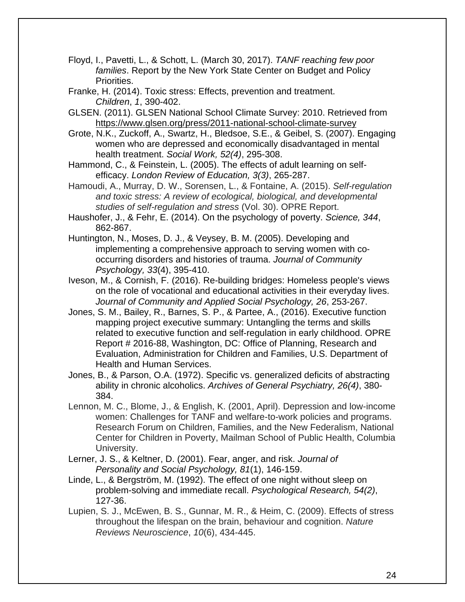- Floyd, I., Pavetti, L., & Schott, L. (March 30, 2017). *TANF reaching few poor families*. Report by the New York State Center on Budget and Policy Priorities.
- Franke, H. (2014). Toxic stress: Effects, prevention and treatment. *Children*, *1*, 390-402.
- GLSEN. (2011). GLSEN National School Climate Survey: 2010. Retrieved from [https://www.glsen.org/press/2011-national-school-climate-survey](http://www.glsen.org/press/2011-national-school-climate-survey)
- Grote, N.K., Zuckoff, A., Swartz, H., Bledsoe, S.E., & Geibel, S. (2007). Engaging women who are depressed and economically disadvantaged in mental health treatment. *Social Work, 52(4)*, 295-308.
- Hammond, C., & Feinstein, L. (2005). The effects of adult learning on selfefficacy. *London Review of Education, 3(3)*, 265-287.
- Hamoudi, A., Murray, D. W., Sorensen, L., & Fontaine, A. (2015). *Self-regulation and toxic stress: A review of ecological, biological, and developmental studies of self-regulation and stress* (Vol. 30). OPRE Report.
- Haushofer, J., & Fehr, E. (2014). On the psychology of poverty. *Science, 344*, 862-867.
- Huntington, N., Moses, D. J., & Veysey, B. M. (2005). Developing and implementing a comprehensive approach to serving women with co‐ occurring disorders and histories of trauma. *Journal of Community Psychology, 33*(4), 395-410.
- Iveson, M., & Cornish, F. (2016). Re-building bridges: Homeless people's views on the role of vocational and educational activities in their everyday lives. *Journal of Community and Applied Social Psychology, 26*, 253-267.
- Jones, S. M., Bailey, R., Barnes, S. P., & Partee, A., (2016). Executive function mapping project executive summary: Untangling the terms and skills related to executive function and self-regulation in early childhood. OPRE Report # 2016-88, Washington, DC: Office of Planning, Research and Evaluation, Administration for Children and Families, U.S. Department of Health and Human Services.
- Jones, B., & Parson, O.A. (1972). Specific vs. generalized deficits of abstracting ability in chronic alcoholics. *Archives of General Psychiatry, 26(4)*, 380- 384.
- Lennon, M. C., Blome, J., & English, K. (2001, April). Depression and low-income women: Challenges for TANF and welfare-to-work policies and programs. Research Forum on Children, Families, and the New Federalism, National Center for Children in Poverty, Mailman School of Public Health, Columbia University.
- Lerner, J. S., & Keltner, D. (2001). Fear, anger, and risk. *Journal of Personality and Social Psychology, 81*(1), 146-159.
- Linde, L., & Bergström, M. (1992). The effect of one night without sleep on problem-solving and immediate recall. *Psychological Research, 54(2)*, 127-36.
- Lupien, S. J., McEwen, B. S., Gunnar, M. R., & Heim, C. (2009). Effects of stress throughout the lifespan on the brain, behaviour and cognition. *Nature Reviews Neuroscience*, *10*(6), 434-445.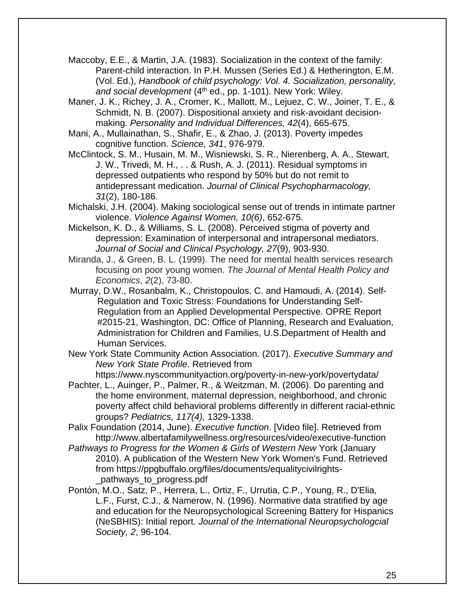Maccoby, E.E., & Martin, J.A. (1983). Socialization in the context of the family: Parent-child interaction. In P.H. Mussen (Series Ed.) & Hetherington, E.M. (Vol. Ed.), *Handbook of child psychology: Vol. 4. Socialization, personality,*  and social development (4<sup>th</sup> ed., pp. 1-101). New York: Wiley.

Maner, J. K., Richey, J. A., Cromer, K., Mallott, M., Lejuez, C. W., Joiner, T. E., & Schmidt, N. B. (2007). Dispositional anxiety and risk-avoidant decisionmaking. *Personality and Individual Differences, 42*(4), 665-675.

- Mani, A., Mullainathan, S., Shafir, E., & Zhao, J. (2013). Poverty impedes cognitive function. *Science, 341*, 976-979.
- McClintock, S. M., Husain, M. M., Wisniewski, S. R., Nierenberg, A. A., Stewart, J. W., Trivedi, M. H., . . & Rush, A. J. (2011). Residual symptoms in depressed outpatients who respond by 50% but do not remit to antidepressant medication. *Journal of Clinical Psychopharmacology, 31*(2), 180-186.
- Michalski, J.H. (2004). Making sociological sense out of trends in intimate partner violence. *Violence Against Women, 10(6)*, 652-675.
- Mickelson, K. D., & Williams, S. L. (2008). Perceived stigma of poverty and depression: Examination of interpersonal and intrapersonal mediators. *Journal of Social and Clinical Psychology, 27*(9), 903-930.
- Miranda, J., & Green, B. L. (1999). The need for mental health services research focusing on poor young women. *The Journal of Mental Health Policy and Economics*, *2*(2), 73-80.
- Murray, D.W., Rosanbalm, K., Christopoulos, C. and Hamoudi, A. (2014). Self-Regulation and Toxic Stress: Foundations for Understanding Self-Regulation from an Applied Developmental Perspective. OPRE Report #2015-21, Washington, DC: Office of Planning, Research and Evaluation, Administration for Children and Families, U.S.Department of Health and Human Services.
- New York State Community Action Association. (2017). *Executive Summary and New York State Profile*. Retrieved from

[https://www.nyscommunityaction.org/poverty-in-new-york/povertydata/](http://www.nyscommunityaction.org/poverty-in-new-york/povertydata/)

Pachter, L., Auinger, P., Palmer, R., & Weitzman, M. (2006). Do parenting and the home environment, maternal depression, neighborhood, and chronic poverty affect child behavioral problems differently in different racial-ethnic groups? *Pediatrics, 117(4),* 1329-1338.

Palix Foundation (2014, June). *Executive function*. [Video file]. Retrieved from <http://www.albertafamilywellness.org/resources/video/executive-function>

*Pathways to Progress for the Women & Girls of Western New* York (January 2010). A publication of the Western New York Women's Fund. Retrieved from https://ppgbuffalo.org/files/documents/equalitycivilrights- \_pathways\_to\_progress.pdf

Pontón, M.O., Satz, P., Herrera, L., Ortiz, F., Urrutia, C.P., Young, R., D'Elia, L.F., Furst, C.J., & Namerow, N. (1996). Normative data stratified by age and education for the Neuropsychological Screening Battery for Hispanics (NeSBHIS): Initial report. *Journal of the International Neuropsychologcial Society, 2*, 96-104.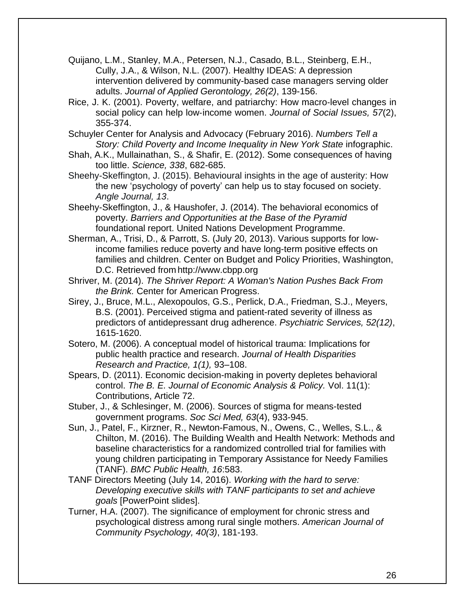Quijano, L.M., Stanley, M.A., Petersen, N.J., Casado, B.L., Steinberg, E.H., Cully, J.A., & Wilson, N.L. (2007). Healthy IDEAS: A depression intervention delivered by community-based case managers serving older adults. *Journal of Applied Gerontology, 26(2)*, 139-156.

- Rice, J. K. (2001). Poverty, welfare, and patriarchy: How macro‐level changes in social policy can help low‐income women. *Journal of Social Issues, 57*(2), 355-374.
- Schuyler Center for Analysis and Advocacy (February 2016). *Numbers Tell a Story: Child Poverty and Income Inequality in New York State infographic.*
- Shah, A.K., Mullainathan, S., & Shafir, E. (2012). Some consequences of having too little. *Science, 338*, 682-685.
- Sheehy-Skeffington, J. (2015). Behavioural insights in the age of austerity: How the new 'psychology of poverty' can help us to stay focused on society. *Angle Journal, 13*.
- Sheehy-Skeffington, J., & Haushofer, J. (2014). The behavioral economics of poverty. *Barriers and Opportunities at the Base of the Pyramid* foundational report. United Nations Development Programme.
- Sherman, A., Trisi, D., & Parrott, S. (July 20, 2013). Various supports for lowincome families reduce poverty and have long-term positive effects on families and children. Center on Budget and Policy Priorities, Washington, D.C. Retrieved from [http://www.cbpp.org](http://www.cbpp.org/)
- Shriver, M. (2014). *The Shriver Report: A Woman's Nation Pushes Back From the Brink.* Center for American Progress.
- Sirey, J., Bruce, M.L., Alexopoulos, G.S., Perlick, D.A., Friedman, S.J., Meyers, B.S. (2001). Perceived stigma and patient-rated severity of illness as predictors of antidepressant drug adherence. *Psychiatric Services, 52(12)*, 1615-1620.
- Sotero, M. (2006). A conceptual model of historical trauma: Implications for public health practice and research. *Journal of Health Disparities Research and Practice, 1(1),* 93–108.
- Spears, D. (2011). Economic decision-making in poverty depletes behavioral control. *The B. E. Journal of Economic Analysis & Policy.* Vol. 11(1): Contributions, Article 72.
- Stuber, J., & Schlesinger, M. (2006). Sources of stigma for means-tested government programs. *Soc Sci Med, 63*(4), 933-945.
- Sun, J., Patel, F., Kirzner, R., Newton-Famous, N., Owens, C., Welles, S.L., & Chilton, M. (2016). The Building Wealth and Health Network: Methods and baseline characteristics for a randomized controlled trial for families with young children participating in Temporary Assistance for Needy Families (TANF). *BMC Public Health, 16*:583.
- TANF Directors Meeting (July 14, 2016). *Working with the hard to serve: Developing executive skills with TANF participants to set and achieve goals* [PowerPoint slides].
- Turner, H.A. (2007). The significance of employment for chronic stress and psychological distress among rural single mothers. *American Journal of Community Psychology, 40(3)*, 181-193.